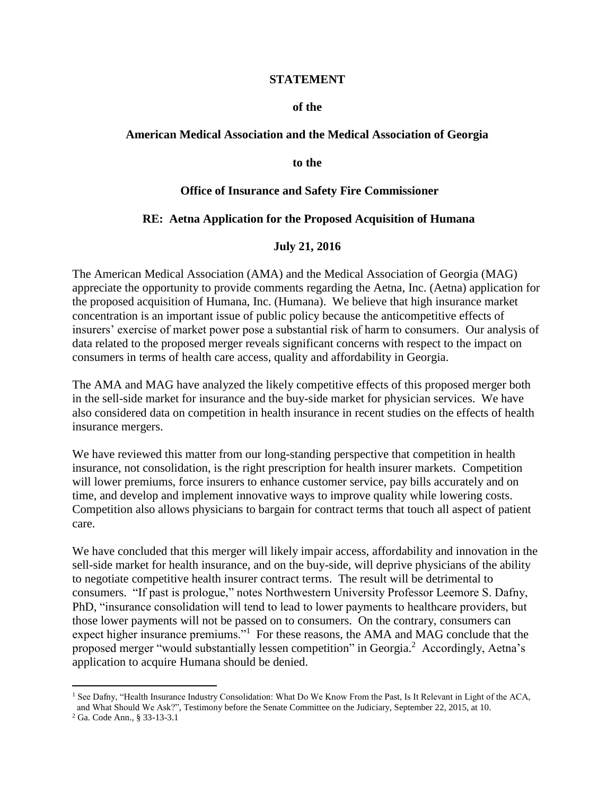#### **STATEMENT**

#### **of the**

#### **American Medical Association and the Medical Association of Georgia**

#### **to the**

#### **Office of Insurance and Safety Fire Commissioner**

#### **RE: Aetna Application for the Proposed Acquisition of Humana**

#### **July 21, 2016**

The American Medical Association (AMA) and the Medical Association of Georgia (MAG) appreciate the opportunity to provide comments regarding the Aetna, Inc. (Aetna) application for the proposed acquisition of Humana, Inc. (Humana). We believe that high insurance market concentration is an important issue of public policy because the anticompetitive effects of insurers' exercise of market power pose a substantial risk of harm to consumers. Our analysis of data related to the proposed merger reveals significant concerns with respect to the impact on consumers in terms of health care access, quality and affordability in Georgia.

The AMA and MAG have analyzed the likely competitive effects of this proposed merger both in the sell-side market for insurance and the buy-side market for physician services. We have also considered data on competition in health insurance in recent studies on the effects of health insurance mergers.

We have reviewed this matter from our long-standing perspective that competition in health insurance, not consolidation, is the right prescription for health insurer markets. Competition will lower premiums, force insurers to enhance customer service, pay bills accurately and on time, and develop and implement innovative ways to improve quality while lowering costs. Competition also allows physicians to bargain for contract terms that touch all aspect of patient care.

We have concluded that this merger will likely impair access, affordability and innovation in the sell-side market for health insurance, and on the buy-side, will deprive physicians of the ability to negotiate competitive health insurer contract terms. The result will be detrimental to consumers. "If past is prologue," notes Northwestern University Professor Leemore S. Dafny, PhD, "insurance consolidation will tend to lead to lower payments to healthcare providers, but those lower payments will not be passed on to consumers. On the contrary, consumers can expect higher insurance premiums."<sup>1</sup> For these reasons, the AMA and MAG conclude that the proposed merger "would substantially lessen competition" in Georgia.<sup>2</sup> Accordingly, Aetna's application to acquire Humana should be denied.

<sup>&</sup>lt;sup>1</sup> See Dafny, "Health Insurance Industry Consolidation: What Do We Know From the Past, Is It Relevant in Light of the ACA, and What Should We Ask?", Testimony before the Senate Committee on the Judiciary, September 22, 2015, at 10.

<sup>2</sup> Ga. Code Ann., § 33-13-3.1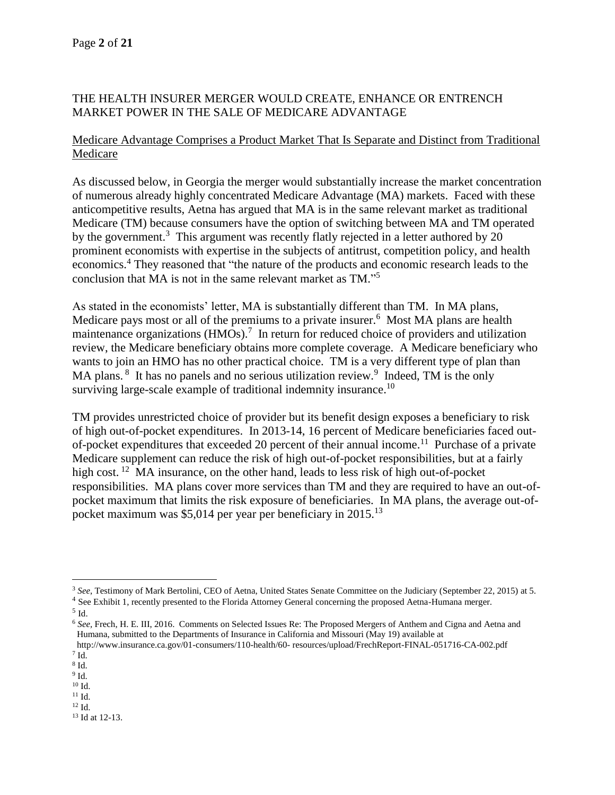## THE HEALTH INSURER MERGER WOULD CREATE, ENHANCE OR ENTRENCH MARKET POWER IN THE SALE OF MEDICARE ADVANTAGE

## Medicare Advantage Comprises a Product Market That Is Separate and Distinct from Traditional Medicare

As discussed below, in Georgia the merger would substantially increase the market concentration of numerous already highly concentrated Medicare Advantage (MA) markets. Faced with these anticompetitive results, Aetna has argued that MA is in the same relevant market as traditional Medicare (TM) because consumers have the option of switching between MA and TM operated by the government.<sup>3</sup> This argument was recently flatly rejected in a letter authored by 20 prominent economists with expertise in the subjects of antitrust, competition policy, and health economics.<sup>4</sup> They reasoned that "the nature of the products and economic research leads to the conclusion that MA is not in the same relevant market as TM." 5

As stated in the economists' letter, MA is substantially different than TM. In MA plans, Medicare pays most or all of the premiums to a private insurer.<sup>6</sup> Most MA plans are health maintenance organizations (HMOs).<sup>7</sup> In return for reduced choice of providers and utilization review, the Medicare beneficiary obtains more complete coverage. A Medicare beneficiary who wants to join an HMO has no other practical choice. TM is a very different type of plan than MA plans. <sup>8</sup> It has no panels and no serious utilization review.<sup>9</sup> Indeed, TM is the only surviving large-scale example of traditional indemnity insurance.<sup>10</sup>

TM provides unrestricted choice of provider but its benefit design exposes a beneficiary to risk of high out-of-pocket expenditures. In 2013-14, 16 percent of Medicare beneficiaries faced outof-pocket expenditures that exceeded 20 percent of their annual income.<sup>11</sup> Purchase of a private Medicare supplement can reduce the risk of high out-of-pocket responsibilities, but at a fairly high cost.<sup>12</sup> MA insurance, on the other hand, leads to less risk of high out-of-pocket responsibilities. MA plans cover more services than TM and they are required to have an out-ofpocket maximum that limits the risk exposure of beneficiaries. In MA plans, the average out-ofpocket maximum was \$5,014 per year per beneficiary in 2015.<sup>13</sup>

 $<sup>5</sup>$  Id.</sup>

 $\overline{a}$ 

- 9 Id.
- $^{10}$  Id.  $\,$
- $^{11}$  Id. <sup>12</sup> Id.

<sup>13</sup> Id at 12-13.

<sup>&</sup>lt;sup>3</sup> See, Testimony of Mark Bertolini, CEO of Aetna, United States Senate Committee on the Judiciary (September 22, 2015) at 5.

<sup>&</sup>lt;sup>4</sup> See Exhibit 1, recently presented to the Florida Attorney General concerning the proposed Aetna-Humana merger.

<sup>6</sup> *See,* Frech, H. E. III, 2016. Comments on Selected Issues Re: The Proposed Mergers of Anthem and Cigna and Aetna and Humana, submitted to the Departments of Insurance in California and Missouri (May 19) available at

http://www.insurance.ca.gov/01-consumers/110-health/60- resources/upload/FrechReport-FINAL-051716-CA-002.pdf  $7$  Id.

<sup>8</sup> Id.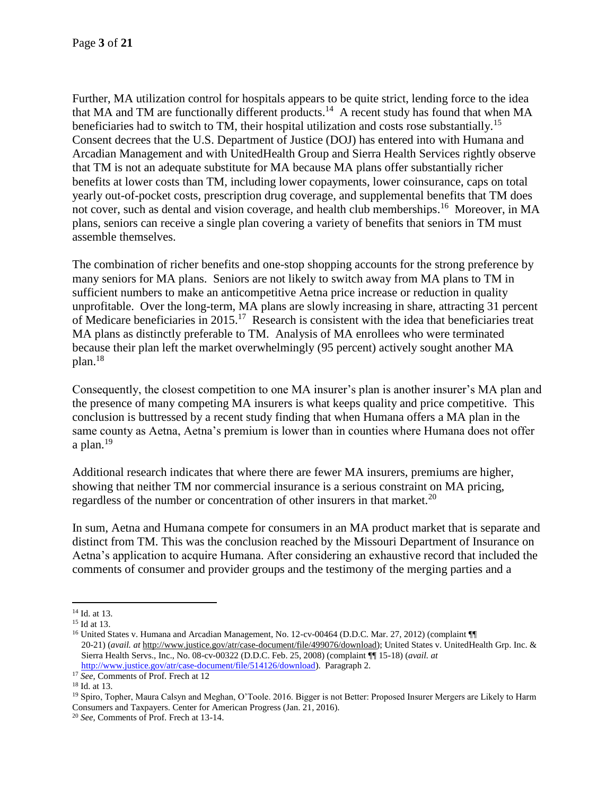Further, MA utilization control for hospitals appears to be quite strict, lending force to the idea that MA and TM are functionally different products.<sup>14</sup> A recent study has found that when MA beneficiaries had to switch to TM, their hospital utilization and costs rose substantially.<sup>15</sup> Consent decrees that the U.S. Department of Justice (DOJ) has entered into with Humana and Arcadian Management and with UnitedHealth Group and Sierra Health Services rightly observe that TM is not an adequate substitute for MA because MA plans offer substantially richer benefits at lower costs than TM, including lower copayments, lower coinsurance, caps on total yearly out-of-pocket costs, prescription drug coverage, and supplemental benefits that TM does not cover, such as dental and vision coverage, and health club memberships.<sup>16</sup> Moreover, in MA plans, seniors can receive a single plan covering a variety of benefits that seniors in TM must assemble themselves.

The combination of richer benefits and one-stop shopping accounts for the strong preference by many seniors for MA plans. Seniors are not likely to switch away from MA plans to TM in sufficient numbers to make an anticompetitive Aetna price increase or reduction in quality unprofitable. Over the long-term, MA plans are slowly increasing in share, attracting 31 percent of Medicare beneficiaries in 2015.<sup>17</sup> Research is consistent with the idea that beneficiaries treat MA plans as distinctly preferable to TM. Analysis of MA enrollees who were terminated because their plan left the market overwhelmingly (95 percent) actively sought another MA plan.<sup>18</sup>

Consequently, the closest competition to one MA insurer's plan is another insurer's MA plan and the presence of many competing MA insurers is what keeps quality and price competitive. This conclusion is buttressed by a recent study finding that when Humana offers a MA plan in the same county as Aetna, Aetna's premium is lower than in counties where Humana does not offer a plan. $^{19}$ 

Additional research indicates that where there are fewer MA insurers, premiums are higher, showing that neither TM nor commercial insurance is a serious constraint on MA pricing, regardless of the number or concentration of other insurers in that market.<sup>20</sup>

In sum, Aetna and Humana compete for consumers in an MA product market that is separate and distinct from TM. This was the conclusion reached by the Missouri Department of Insurance on Aetna's application to acquire Humana. After considering an exhaustive record that included the comments of consumer and provider groups and the testimony of the merging parties and a

 $\overline{a}$ <sup>14</sup> Id. at 13.

<sup>&</sup>lt;sup>15</sup> Id at 13.

<sup>16</sup> United States v. Humana and Arcadian Management, No. 12-cv-00464 (D.D.C. Mar. 27, 2012) (complaint ¶¶ 20-21) (*avail. at* [http://www.justice.gov/atr/case-document/file/499076/download\)](http://www.justice.gov/atr/case-document/file/499076/download); United States v. UnitedHealth Grp. Inc. & Sierra Health Servs., Inc., No. 08-cv-00322 (D.D.C. Feb. 25, 2008) (complaint ¶¶ 15-18) (*avail. at* [http://www.justice.gov/atr/case-document/file/514126/download\)](http://www.justice.gov/atr/case-document/file/514126/download). Paragraph 2.

<sup>17</sup> *See,* Comments of Prof. Frech at 12

<sup>18</sup> Id. at 13.

<sup>19</sup> Spiro, Topher, Maura Calsyn and Meghan, O'Toole. 2016. Bigger is not Better: Proposed Insurer Mergers are Likely to Harm Consumers and Taxpayers. Center for American Progress (Jan. 21, 2016).

<sup>20</sup> *See,* Comments of Prof. Frech at 13-14.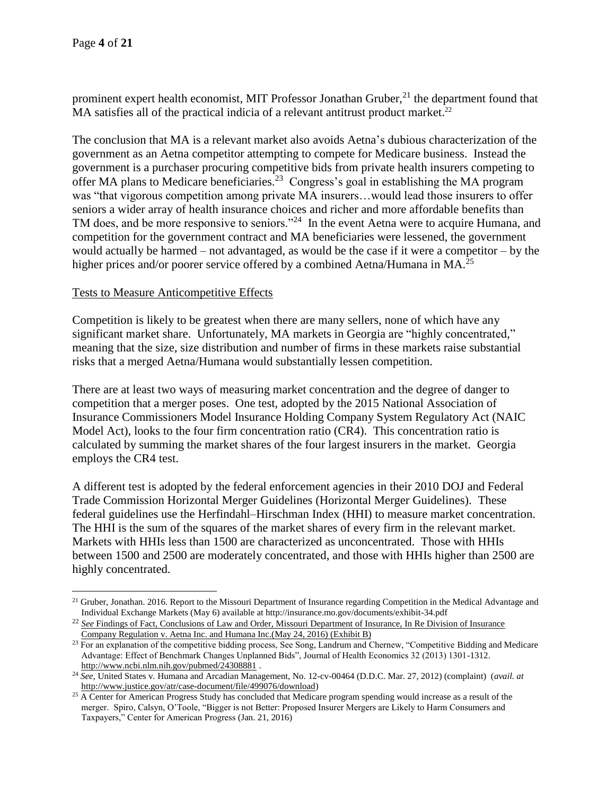prominent expert health economist, MIT Professor Jonathan Gruber,<sup>21</sup> the department found that MA satisfies all of the practical indicia of a relevant antitrust product market.<sup>22</sup>

The conclusion that MA is a relevant market also avoids Aetna's dubious characterization of the government as an Aetna competitor attempting to compete for Medicare business. Instead the government is a purchaser procuring competitive bids from private health insurers competing to offer MA plans to Medicare beneficiaries.<sup>23</sup> Congress's goal in establishing the MA program was "that vigorous competition among private MA insurers…would lead those insurers to offer seniors a wider array of health insurance choices and richer and more affordable benefits than TM does, and be more responsive to seniors."<sup>24</sup> In the event Aetna were to acquire Humana, and competition for the government contract and MA beneficiaries were lessened, the government would actually be harmed – not advantaged, as would be the case if it were a competitor – by the higher prices and/or poorer service offered by a combined Aetna/Humana in MA.<sup>25</sup>

### Tests to Measure Anticompetitive Effects

Competition is likely to be greatest when there are many sellers, none of which have any significant market share. Unfortunately, MA markets in Georgia are "highly concentrated," meaning that the size, size distribution and number of firms in these markets raise substantial risks that a merged Aetna/Humana would substantially lessen competition.

There are at least two ways of measuring market concentration and the degree of danger to competition that a merger poses. One test, adopted by the 2015 National Association of Insurance Commissioners Model Insurance Holding Company System Regulatory Act (NAIC Model Act), looks to the four firm concentration ratio (CR4). This concentration ratio is calculated by summing the market shares of the four largest insurers in the market. Georgia employs the CR4 test.

A different test is adopted by the federal enforcement agencies in their 2010 DOJ and Federal Trade Commission Horizontal Merger Guidelines (Horizontal Merger Guidelines). These federal guidelines use the Herfindahl–Hirschman Index (HHI) to measure market concentration. The HHI is the sum of the squares of the market shares of every firm in the relevant market. Markets with HHIs less than 1500 are characterized as unconcentrated. Those with HHIs between 1500 and 2500 are moderately concentrated, and those with HHIs higher than 2500 are highly concentrated.

<sup>&</sup>lt;sup>21</sup> Gruber, Jonathan. 2016. Report to the Missouri Department of Insurance regarding Competition in the Medical Advantage and Individual Exchange Markets (May 6) available at http://insurance.mo.gov/documents/exhibit-34.pdf

<sup>&</sup>lt;sup>22</sup> See Findings of Fact, Conclusions of Law and Order, Missouri Department of Insurance, In Re Division of Insurance Company Regulation v. Aetna Inc. and Humana Inc.(May 24, 2016) (Exhibit B)

<sup>&</sup>lt;sup>23</sup> For an explanation of the competitive bidding process, See Song, Landrum and Chernew, "Competitive Bidding and Medicare Advantage: Effect of Benchmark Changes Unplanned Bids", Journal of Health Economics 32 (2013) 1301-1312. <http://www.ncbi.nlm.nih.gov/pubmed/24308881> .

<sup>24</sup> *See*, United States v. Humana and Arcadian Management, No. 12-cv-00464 (D.D.C. Mar. 27, 2012) (complaint) (*avail. at*  [http://www.justice.gov/atr/case-document/file/499076/download\)](http://www.justice.gov/atr/case-document/file/499076/download)

<sup>&</sup>lt;sup>25</sup> A Center for American Progress Study has concluded that Medicare program spending would increase as a result of the merger. Spiro, Calsyn, O'Toole, "Bigger is not Better: Proposed Insurer Mergers are Likely to Harm Consumers and Taxpayers," Center for American Progress (Jan. 21, 2016)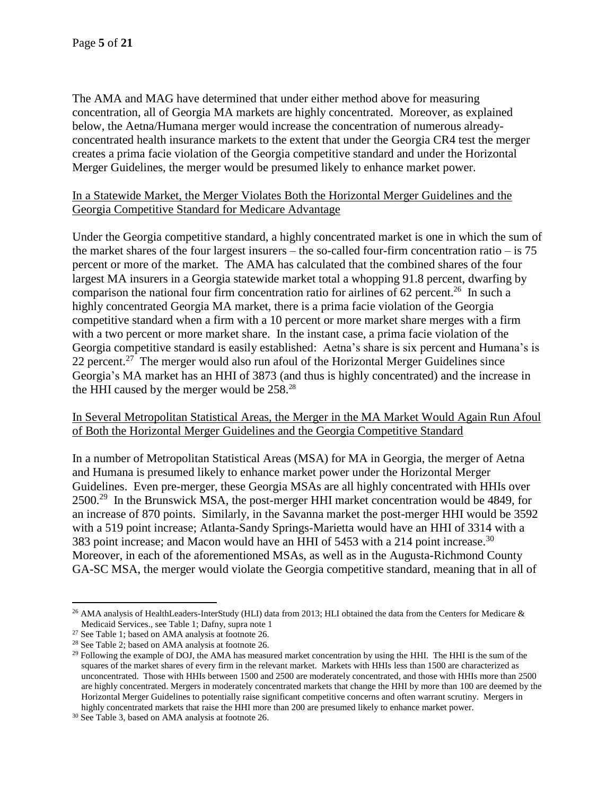The AMA and MAG have determined that under either method above for measuring concentration, all of Georgia MA markets are highly concentrated. Moreover, as explained below, the Aetna/Humana merger would increase the concentration of numerous alreadyconcentrated health insurance markets to the extent that under the Georgia CR4 test the merger creates a prima facie violation of the Georgia competitive standard and under the Horizontal Merger Guidelines, the merger would be presumed likely to enhance market power.

## In a Statewide Market, the Merger Violates Both the Horizontal Merger Guidelines and the Georgia Competitive Standard for Medicare Advantage

Under the Georgia competitive standard, a highly concentrated market is one in which the sum of the market shares of the four largest insurers – the so-called four-firm concentration ratio – is  $75$ percent or more of the market. The AMA has calculated that the combined shares of the four largest MA insurers in a Georgia statewide market total a whopping 91.8 percent, dwarfing by comparison the national four firm concentration ratio for airlines of  $62$  percent.<sup>26</sup> In such a highly concentrated Georgia MA market, there is a prima facie violation of the Georgia competitive standard when a firm with a 10 percent or more market share merges with a firm with a two percent or more market share. In the instant case, a prima facie violation of the Georgia competitive standard is easily established: Aetna's share is six percent and Humana's is 22 percent.<sup>27</sup> The merger would also run afoul of the Horizontal Merger Guidelines since Georgia's MA market has an HHI of 3873 (and thus is highly concentrated) and the increase in the HHI caused by the merger would be 258.<sup>28</sup>

### In Several Metropolitan Statistical Areas, the Merger in the MA Market Would Again Run Afoul of Both the Horizontal Merger Guidelines and the Georgia Competitive Standard

In a number of Metropolitan Statistical Areas (MSA) for MA in Georgia, the merger of Aetna and Humana is presumed likely to enhance market power under the Horizontal Merger Guidelines. Even pre-merger, these Georgia MSAs are all highly concentrated with HHIs over 2500.<sup>29</sup> In the Brunswick MSA, the post-merger HHI market concentration would be 4849, for an increase of 870 points. Similarly, in the Savanna market the post-merger HHI would be 3592 with a 519 point increase; Atlanta-Sandy Springs-Marietta would have an HHI of 3314 with a 383 point increase; and Macon would have an HHI of 5453 with a 214 point increase.<sup>30</sup> Moreover, in each of the aforementioned MSAs, as well as in the Augusta-Richmond County GA-SC MSA, the merger would violate the Georgia competitive standard, meaning that in all of

 $\overline{a}$ <sup>26</sup> AMA analysis of HealthLeaders-InterStudy (HLI) data from 2013; HLI obtained the data from the Centers for Medicare  $\&$ Medicaid Services., see Table 1; Dafny, supra note 1

<sup>27</sup> See Table 1; based on AMA analysis at footnote 26.

<sup>28</sup> See Table 2; based on AMA analysis at footnote 26.

 $^{29}$  Following the example of DOJ, the AMA has measured market concentration by using the HHI. The HHI is the sum of the squares of the market shares of every firm in the relevant market. Markets with HHIs less than 1500 are characterized as unconcentrated. Those with HHIs between 1500 and 2500 are moderately concentrated, and those with HHIs more than 2500 are highly concentrated. Mergers in moderately concentrated markets that change the HHI by more than 100 are deemed by the Horizontal Merger Guidelines to potentially raise significant competitive concerns and often warrant scrutiny. Mergers in highly concentrated markets that raise the HHI more than 200 are presumed likely to enhance market power.

<sup>30</sup> See Table 3, based on AMA analysis at footnote 26.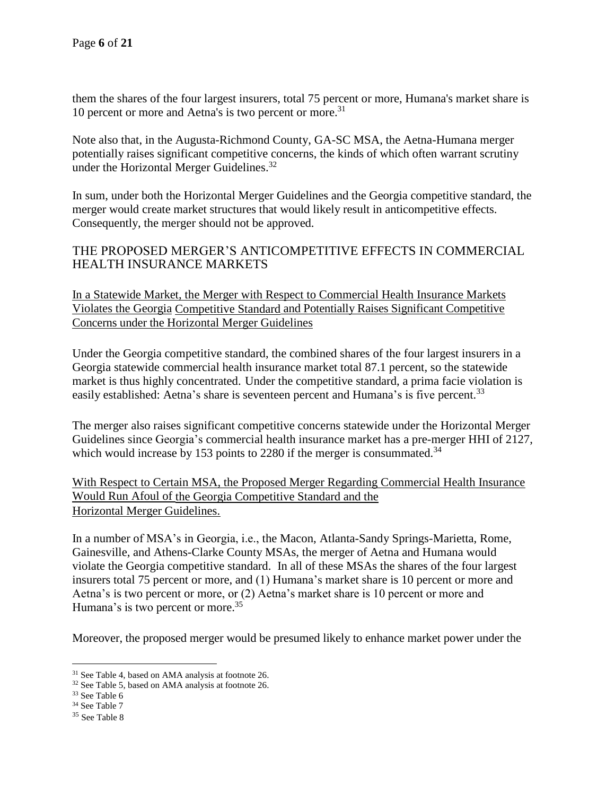them the shares of the four largest insurers, total 75 percent or more, Humana's market share is 10 percent or more and Aetna's is two percent or more. 31

Note also that, in the Augusta-Richmond County, GA-SC MSA, the Aetna-Humana merger potentially raises significant competitive concerns, the kinds of which often warrant scrutiny under the Horizontal Merger Guidelines.<sup>32</sup>

In sum, under both the Horizontal Merger Guidelines and the Georgia competitive standard, the merger would create market structures that would likely result in anticompetitive effects. Consequently, the merger should not be approved.

# THE PROPOSED MERGER'S ANTICOMPETITIVE EFFECTS IN COMMERCIAL HEALTH INSURANCE MARKETS

In a Statewide Market, the Merger with Respect to Commercial Health Insurance Markets Violates the Georgia Competitive Standard and Potentially Raises Significant Competitive Concerns under the Horizontal Merger Guidelines

Under the Georgia competitive standard, the combined shares of the four largest insurers in a Georgia statewide commercial health insurance market total 87.1 percent, so the statewide market is thus highly concentrated. Under the competitive standard, a prima facie violation is easily established: Aetna's share is seventeen percent and Humana's is five percent.<sup>33</sup>

The merger also raises significant competitive concerns statewide under the Horizontal Merger Guidelines since Georgia's commercial health insurance market has a pre-merger HHI of 2127, which would increase by 153 points to 2280 if the merger is consummated.<sup>34</sup>

With Respect to Certain MSA, the Proposed Merger Regarding Commercial Health Insurance Would Run Afoul of the Georgia Competitive Standard and the Horizontal Merger Guidelines.

In a number of MSA's in Georgia, i.e., the Macon, Atlanta-Sandy Springs-Marietta, Rome, Gainesville, and Athens-Clarke County MSAs, the merger of Aetna and Humana would violate the Georgia competitive standard. In all of these MSAs the shares of the four largest insurers total 75 percent or more, and (1) Humana's market share is 10 percent or more and Aetna's is two percent or more, or (2) Aetna's market share is 10 percent or more and Humana's is two percent or more.<sup>35</sup>

Moreover, the proposed merger would be presumed likely to enhance market power under the

<sup>&</sup>lt;sup>31</sup> See Table 4, based on AMA analysis at footnote 26.

<sup>32</sup> See Table 5, based on AMA analysis at footnote 26.

<sup>33</sup> See Table 6

<sup>34</sup> See Table 7

<sup>35</sup> See Table 8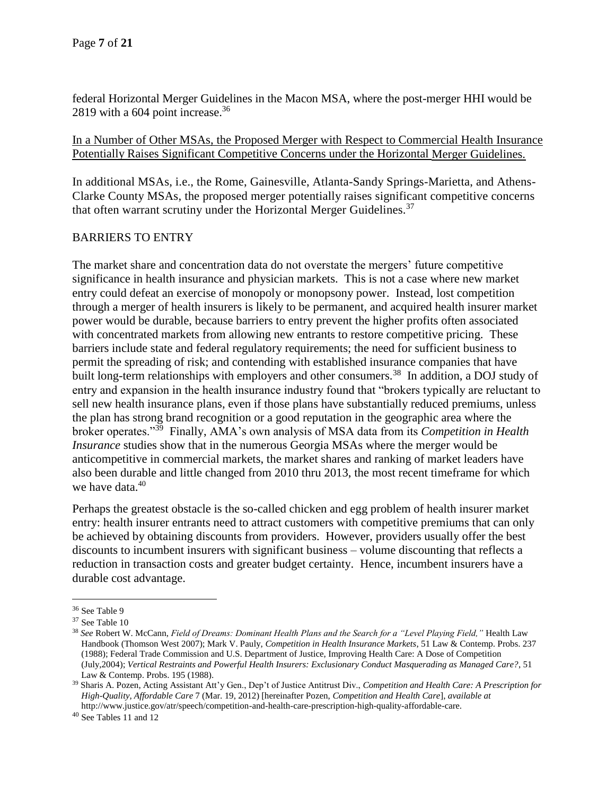federal Horizontal Merger Guidelines in the Macon MSA, where the post-merger HHI would be 2819 with a 604 point increase. $36$ 

In a Number of Other MSAs, the Proposed Merger with Respect to Commercial Health Insurance Potentially Raises Significant Competitive Concerns under the Horizontal Merger Guidelines.

In additional MSAs, i.e., the Rome, Gainesville, Atlanta-Sandy Springs-Marietta, and Athens-Clarke County MSAs, the proposed merger potentially raises significant competitive concerns that often warrant scrutiny under the Horizontal Merger Guidelines.<sup>37</sup>

### BARRIERS TO ENTRY

The market share and concentration data do not overstate the mergers' future competitive significance in health insurance and physician markets. This is not a case where new market entry could defeat an exercise of monopoly or monopsony power. Instead, lost competition through a merger of health insurers is likely to be permanent, and acquired health insurer market power would be durable, because barriers to entry prevent the higher profits often associated with concentrated markets from allowing new entrants to restore competitive pricing. These barriers include state and federal regulatory requirements; the need for sufficient business to permit the spreading of risk; and contending with established insurance companies that have built long-term relationships with employers and other consumers.<sup>38</sup> In addition, a DOJ study of entry and expansion in the health insurance industry found that "brokers typically are reluctant to sell new health insurance plans, even if those plans have substantially reduced premiums, unless the plan has strong brand recognition or a good reputation in the geographic area where the broker operates."<sup>39</sup> Finally, AMA's own analysis of MSA data from its *Competition in Health Insurance* studies show that in the numerous Georgia MSAs where the merger would be anticompetitive in commercial markets, the market shares and ranking of market leaders have also been durable and little changed from 2010 thru 2013, the most recent timeframe for which we have data.<sup>40</sup>

Perhaps the greatest obstacle is the so-called chicken and egg problem of health insurer market entry: health insurer entrants need to attract customers with competitive premiums that can only be achieved by obtaining discounts from providers. However, providers usually offer the best discounts to incumbent insurers with significant business – volume discounting that reflects a reduction in transaction costs and greater budget certainty. Hence, incumbent insurers have a durable cost advantage.

<sup>36</sup> See Table 9

<sup>37</sup> See Table 10

<sup>38</sup> *See* Robert W. McCann, *Field of Dreams: Dominant Health Plans and the Search for a "Level Playing Field,"* Health Law Handbook (Thomson West 2007); Mark V. Pauly, *Competition in Health Insurance Markets*, 51 Law & Contemp. Probs. 237 (1988); Federal Trade Commission and U.S. Department of Justice, Improving Health Care: A Dose of Competition (July,2004); *Vertical Restraints and Powerful Health Insurers: Exclusionary Conduct Masquerading as Managed Care?*, 51 Law & Contemp. Probs. 195 (1988).

<sup>39</sup> Sharis A. Pozen, Acting Assistant Att'y Gen., Dep't of Justice Antitrust Div., *Competition and Health Care: A Prescription for High-Quality, Affordable Care* 7 (Mar. 19, 2012) [hereinafter Pozen, *Competition and Health Care*], *available at*  http://www.justice.gov/atr/speech/competition-and-health-care-prescription-high-quality-affordable-care.

<sup>40</sup> See Tables 11 and 12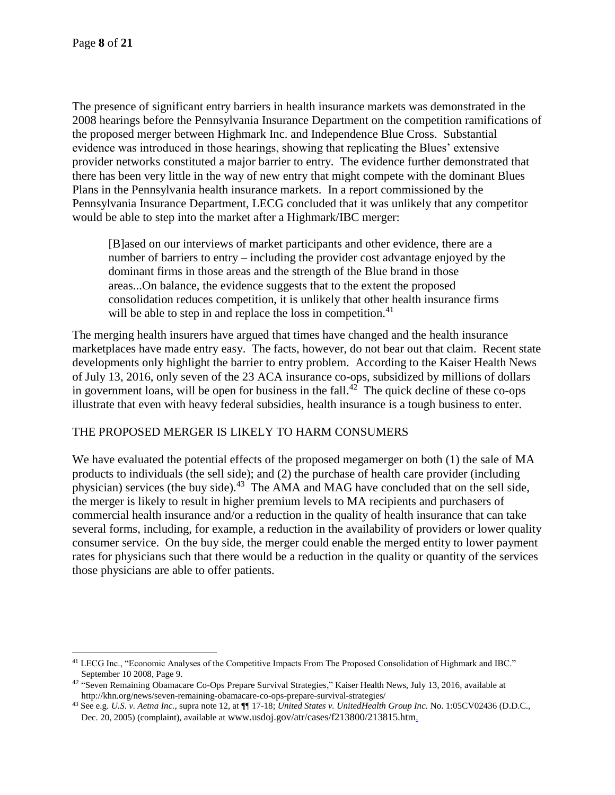The presence of significant entry barriers in health insurance markets was demonstrated in the 2008 hearings before the Pennsylvania Insurance Department on the competition ramifications of the proposed merger between Highmark Inc. and Independence Blue Cross. Substantial evidence was introduced in those hearings, showing that replicating the Blues' extensive provider networks constituted a major barrier to entry. The evidence further demonstrated that there has been very little in the way of new entry that might compete with the dominant Blues Plans in the Pennsylvania health insurance markets. In a report commissioned by the Pennsylvania Insurance Department, LECG concluded that it was unlikely that any competitor would be able to step into the market after a Highmark/IBC merger:

[B]ased on our interviews of market participants and other evidence, there are a number of barriers to entry – including the provider cost advantage enjoyed by the dominant firms in those areas and the strength of the Blue brand in those areas...On balance, the evidence suggests that to the extent the proposed consolidation reduces competition, it is unlikely that other health insurance firms will be able to step in and replace the loss in competition.<sup>41</sup>

The merging health insurers have argued that times have changed and the health insurance marketplaces have made entry easy. The facts, however, do not bear out that claim. Recent state developments only highlight the barrier to entry problem. According to the Kaiser Health News of July 13, 2016, only seven of the 23 ACA insurance co-ops, subsidized by millions of dollars in government loans, will be open for business in the fall.<sup>42</sup> The quick decline of these co-ops illustrate that even with heavy federal subsidies, health insurance is a tough business to enter.

## THE PROPOSED MERGER IS LIKELY TO HARM CONSUMERS

We have evaluated the potential effects of the proposed megamerger on both (1) the sale of MA products to individuals (the sell side); and (2) the purchase of health care provider (including physician) services (the buy side).<sup>43</sup> The AMA and MAG have concluded that on the sell side, the merger is likely to result in higher premium levels to MA recipients and purchasers of commercial health insurance and/or a reduction in the quality of health insurance that can take several forms, including, for example, a reduction in the availability of providers or lower quality consumer service. On the buy side, the merger could enable the merged entity to lower payment rates for physicians such that there would be a reduction in the quality or quantity of the services those physicians are able to offer patients.

<sup>41</sup> LECG Inc., "Economic Analyses of the Competitive Impacts From The Proposed Consolidation of Highmark and IBC." September 10 2008, Page 9.

 $42$  "Seven Remaining Obamacare Co-Ops Prepare Survival Strategies," Kaiser Health News, July 13, 2016, available at http://khn.org/news/seven-remaining-obamacare-co-ops-prepare-survival-strategies/

<sup>43</sup> See e.g. *U.S. v. Aetna Inc.,* supra note 12, at ¶¶ 17-18; *United States v. UnitedHealth Group Inc.* No. 1:05CV02436 (D.D.C., Dec. 20, 2005) (complaint), available at www.usdoj.gov/atr/cases/f213800/213815.htm.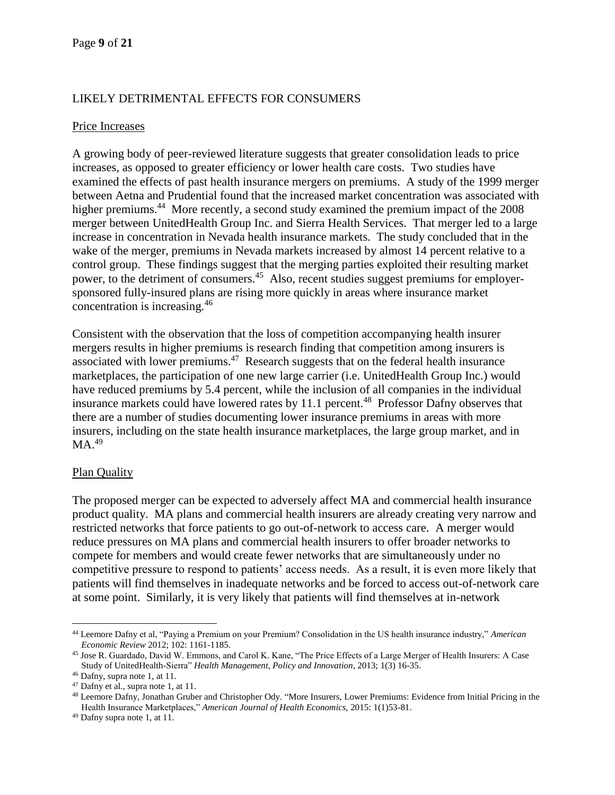# LIKELY DETRIMENTAL EFFECTS FOR CONSUMERS

### Price Increases

A growing body of peer-reviewed literature suggests that greater consolidation leads to price increases, as opposed to greater efficiency or lower health care costs. Two studies have examined the effects of past health insurance mergers on premiums. A study of the 1999 merger between Aetna and Prudential found that the increased market concentration was associated with higher premiums.<sup>44</sup> More recently, a second study examined the premium impact of the 2008 merger between UnitedHealth Group Inc. and Sierra Health Services. That merger led to a large increase in concentration in Nevada health insurance markets. The study concluded that in the wake of the merger, premiums in Nevada markets increased by almost 14 percent relative to a control group. These findings suggest that the merging parties exploited their resulting market power, to the detriment of consumers.<sup>45</sup> Also, recent studies suggest premiums for employersponsored fully-insured plans are rising more quickly in areas where insurance market concentration is increasing.<sup>46</sup>

Consistent with the observation that the loss of competition accompanying health insurer mergers results in higher premiums is research finding that competition among insurers is associated with lower premiums.<sup>47</sup> Research suggests that on the federal health insurance marketplaces, the participation of one new large carrier (i.e. UnitedHealth Group Inc.) would have reduced premiums by 5.4 percent, while the inclusion of all companies in the individual insurance markets could have lowered rates by 11.1 percent.<sup>48</sup> Professor Dafny observes that there are a number of studies documenting lower insurance premiums in areas with more insurers, including on the state health insurance marketplaces, the large group market, and in  $MA.<sup>49</sup>$ 

## Plan Quality

The proposed merger can be expected to adversely affect MA and commercial health insurance product quality. MA plans and commercial health insurers are already creating very narrow and restricted networks that force patients to go out-of-network to access care. A merger would reduce pressures on MA plans and commercial health insurers to offer broader networks to compete for members and would create fewer networks that are simultaneously under no competitive pressure to respond to patients' access needs. As a result, it is even more likely that patients will find themselves in inadequate networks and be forced to access out-of-network care at some point. Similarly, it is very likely that patients will find themselves at in-network

 $\overline{a}$ <sup>44</sup> Leemore Dafny et al, "Paying a Premium on your Premium? Consolidation in the US health insurance industry," *American Economic Review* 2012; 102: 1161-1185.

<sup>45</sup> Jose R. Guardado, David W. Emmons, and Carol K. Kane, "The Price Effects of a Large Merger of Health Insurers: A Case Study of UnitedHealth-Sierra" *Health Management, Policy and Innovation*, 2013; 1(3) 16-35.

<sup>46</sup> Dafny, supra note 1, at 11.

<sup>&</sup>lt;sup>47</sup> Dafny et al., supra note 1, at 11.

<sup>48</sup> Leemore Dafny, Jonathan Gruber and Christopher Ody. "More Insurers, Lower Premiums: Evidence from Initial Pricing in the Health Insurance Marketplaces," *American Journal of Health Economics,* 2015: 1(1)53-81.

<sup>49</sup> Dafny supra note 1, at 11.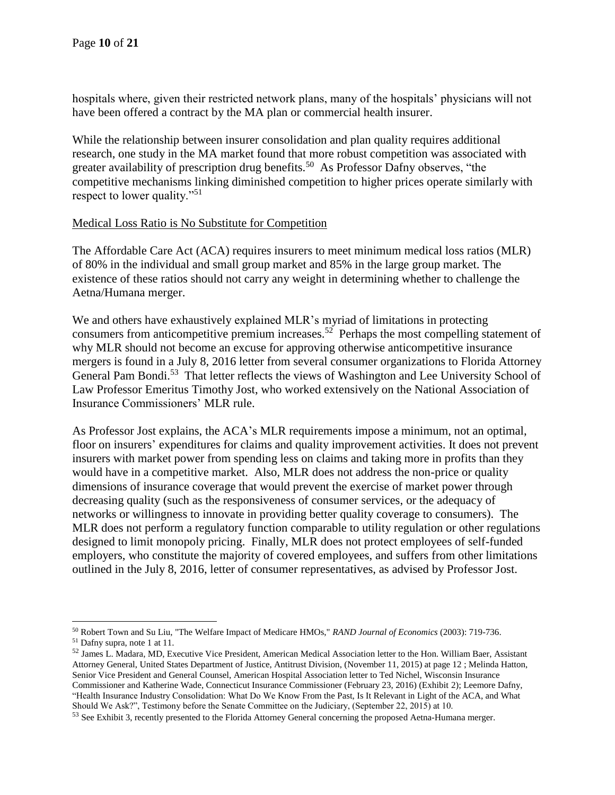hospitals where, given their restricted network plans, many of the hospitals' physicians will not have been offered a contract by the MA plan or commercial health insurer.

While the relationship between insurer consolidation and plan quality requires additional research, one study in the MA market found that more robust competition was associated with greater availability of prescription drug benefits.<sup>50</sup> As Professor Dafny observes, "the competitive mechanisms linking diminished competition to higher prices operate similarly with respect to lower quality."<sup>51</sup>

### Medical Loss Ratio is No Substitute for Competition

The Affordable Care Act (ACA) requires insurers to meet minimum medical loss ratios (MLR) of 80% in the individual and small group market and 85% in the large group market. The existence of these ratios should not carry any weight in determining whether to challenge the Aetna/Humana merger.

We and others have exhaustively explained MLR's myriad of limitations in protecting consumers from anticompetitive premium increases.<sup>52</sup> Perhaps the most compelling statement of why MLR should not become an excuse for approving otherwise anticompetitive insurance mergers is found in a July 8, 2016 letter from several consumer organizations to Florida Attorney General Pam Bondi.<sup>53</sup> That letter reflects the views of Washington and Lee University School of Law Professor Emeritus Timothy Jost, who worked extensively on the National Association of Insurance Commissioners' MLR rule.

As Professor Jost explains, the ACA's MLR requirements impose a minimum, not an optimal, floor on insurers' expenditures for claims and quality improvement activities. It does not prevent insurers with market power from spending less on claims and taking more in profits than they would have in a competitive market. Also, MLR does not address the non-price or quality dimensions of insurance coverage that would prevent the exercise of market power through decreasing quality (such as the responsiveness of consumer services, or the adequacy of networks or willingness to innovate in providing better quality coverage to consumers). The MLR does not perform a regulatory function comparable to utility regulation or other regulations designed to limit monopoly pricing. Finally, MLR does not protect employees of self-funded employers, who constitute the majority of covered employees, and suffers from other limitations outlined in the July 8, 2016, letter of consumer representatives, as advised by Professor Jost.

<sup>50</sup> Robert Town and Su Liu, "The Welfare Impact of Medicare HMOs," *RAND Journal of Economics* (2003): 719-736. <sup>51</sup> Dafny supra, note 1 at 11.

<sup>52</sup> James L. Madara, MD, Executive Vice President, American Medical Association letter to the Hon. William Baer, Assistant Attorney General, United States Department of Justice, Antitrust Division, (November 11, 2015) at page 12 ; Melinda Hatton, Senior Vice President and General Counsel, American Hospital Association letter to Ted Nichel, Wisconsin Insurance Commissioner and Katherine Wade, Connecticut Insurance Commissioner (February 23, 2016) (Exhibit 2); Leemore Dafny, "Health Insurance Industry Consolidation: What Do We Know From the Past, Is It Relevant in Light of the ACA, and What Should We Ask?", Testimony before the Senate Committee on the Judiciary, (September 22, 2015) at 10.

<sup>&</sup>lt;sup>53</sup> See Exhibit 3, recently presented to the Florida Attorney General concerning the proposed Aetna-Humana merger.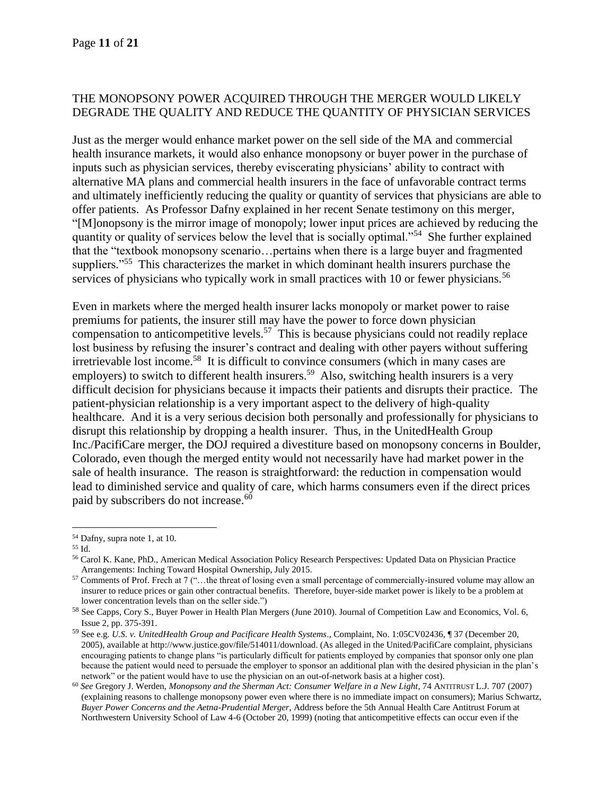## THE MONOPSONY POWER ACQUIRED THROUGH THE MERGER WOULD LIKELY DEGRADE THE QUALITY AND REDUCE THE QUANTITY OF PHYSICIAN SERVICES

Just as the merger would enhance market power on the sell side of the MA and commercial health insurance markets, it would also enhance monopsony or buyer power in the purchase of inputs such as physician services, thereby eviscerating physicians' ability to contract with alternative MA plans and commercial health insurers in the face of unfavorable contract terms and ultimately inefficiently reducing the quality or quantity of services that physicians are able to offer patients. As Professor Dafny explained in her recent Senate testimony on this merger, "[M]onopsony is the mirror image of monopoly; lower input prices are achieved by reducing the quantity or quality of services below the level that is socially optimal."<sup>54</sup> She further explained that the "textbook monopsony scenario…pertains when there is a large buyer and fragmented suppliers."<sup>55</sup> This characterizes the market in which dominant health insurers purchase the services of physicians who typically work in small practices with 10 or fewer physicians.<sup>56</sup>

Even in markets where the merged health insurer lacks monopoly or market power to raise premiums for patients, the insurer still may have the power to force down physician compensation to anticompetitive levels.<sup>57</sup> This is because physicians could not readily replace lost business by refusing the insurer's contract and dealing with other payers without suffering irretrievable lost income.<sup>58</sup> It is difficult to convince consumers (which in many cases are employers) to switch to different health insurers.<sup>59</sup> Also, switching health insurers is a very difficult decision for physicians because it impacts their patients and disrupts their practice. The patient-physician relationship is a very important aspect to the delivery of high-quality healthcare. And it is a very serious decision both personally and professionally for physicians to disrupt this relationship by dropping a health insurer. Thus, in the UnitedHealth Group Inc./PacifiCare merger, the DOJ required a divestiture based on monopsony concerns in Boulder, Colorado, even though the merged entity would not necessarily have had market power in the sale of health insurance. The reason is straightforward: the reduction in compensation would lead to diminished service and quality of care, which harms consumers even if the direct prices paid by subscribers do not increase.<sup>60</sup>

<sup>54</sup> Dafny, supra note 1, at 10.

<sup>55</sup> Id.

<sup>56</sup> Carol K. Kane, PhD., American Medical Association Policy Research Perspectives: Updated Data on Physician Practice Arrangements: Inching Toward Hospital Ownership, July 2015.

<sup>57</sup> Comments of Prof. Frech at 7 ("...the threat of losing even a small percentage of commercially-insured volume may allow an insurer to reduce prices or gain other contractual benefits. Therefore, buyer-side market power is likely to be a problem at lower concentration levels than on the seller side.")

<sup>58</sup> See Capps, Cory S., Buyer Power in Health Plan Mergers (June 2010). Journal of Competition Law and Economics, Vol. 6, Issue 2, pp. 375-391.

<sup>59</sup> See e.g. *U.S. v. UnitedHealth Group and Pacificare Health Systems*., Complaint, No. 1:05CV02436, ¶ 37 (December 20, 2005), available at http://www.justice.gov/file/514011/download. (As alleged in the United/PacifiCare complaint, physicians encouraging patients to change plans "is particularly difficult for patients employed by companies that sponsor only one plan because the patient would need to persuade the employer to sponsor an additional plan with the desired physician in the plan's network" or the patient would have to use the physician on an out-of-network basis at a higher cost).

<sup>60</sup> *See* Gregory J. Werden, *Monopsony and the Sherman Act: Consumer Welfare in a New Light*, 74 ANTITRUST L.J*.* 707 (2007) (explaining reasons to challenge monopsony power even where there is no immediate impact on consumers); Marius Schwartz, *Buyer Power Concerns and the Aetna-Prudential Merger,* Address before the 5th Annual Health Care Antitrust Forum at Northwestern University School of Law 4-6 (October 20, 1999) (noting that anticompetitive effects can occur even if the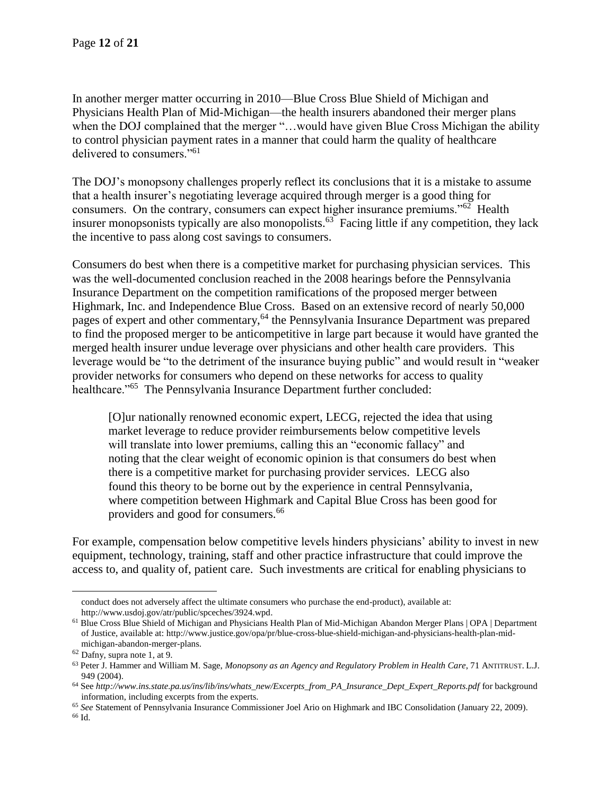In another merger matter occurring in 2010—Blue Cross Blue Shield of Michigan and Physicians Health Plan of Mid-Michigan—the health insurers abandoned their merger plans when the DOJ complained that the merger "…would have given Blue Cross Michigan the ability to control physician payment rates in a manner that could harm the quality of healthcare delivered to consumers."<sup>61</sup>

The DOJ's monopsony challenges properly reflect its conclusions that it is a mistake to assume that a health insurer's negotiating leverage acquired through merger is a good thing for consumers. On the contrary, consumers can expect higher insurance premiums."<sup>62</sup> Health insurer monopsonists typically are also monopolists.<sup>63</sup> Facing little if any competition, they lack the incentive to pass along cost savings to consumers.

Consumers do best when there is a competitive market for purchasing physician services. This was the well-documented conclusion reached in the 2008 hearings before the Pennsylvania Insurance Department on the competition ramifications of the proposed merger between Highmark, Inc. and Independence Blue Cross. Based on an extensive record of nearly 50,000 pages of expert and other commentary,<sup>64</sup> the Pennsylvania Insurance Department was prepared to find the proposed merger to be anticompetitive in large part because it would have granted the merged health insurer undue leverage over physicians and other health care providers. This leverage would be "to the detriment of the insurance buying public" and would result in "weaker provider networks for consumers who depend on these networks for access to quality healthcare."<sup>65</sup> The Pennsylvania Insurance Department further concluded:

[O]ur nationally renowned economic expert, LECG, rejected the idea that using market leverage to reduce provider reimbursements below competitive levels will translate into lower premiums, calling this an "economic fallacy" and noting that the clear weight of economic opinion is that consumers do best when there is a competitive market for purchasing provider services. LECG also found this theory to be borne out by the experience in central Pennsylvania, where competition between Highmark and Capital Blue Cross has been good for providers and good for consumers.<sup>66</sup>

For example, compensation below competitive levels hinders physicians' ability to invest in new equipment, technology, training, staff and other practice infrastructure that could improve the access to, and quality of, patient care. Such investments are critical for enabling physicians to

conduct does not adversely affect the ultimate consumers who purchase the end-product), available at: http://www.usdoj.gov/atr/public/spceches/3924.wpd.

<sup>61</sup> Blue Cross Blue Shield of Michigan and Physicians Health Plan of Mid-Michigan Abandon Merger Plans | OPA | Department of Justice, available at: http://www.justice.gov/opa/pr/blue-cross-blue-shield-michigan-and-physicians-health-plan-midmichigan-abandon-merger-plans.

<sup>62</sup> Dafny, supra note 1, at 9.

<sup>63</sup> Peter J. Hammer and William M. Sage, *Monopsony as an Agency and Regulatory Problem in Health Care*, 71 ANTITRUST. L.J. 949 (2004).

<sup>64</sup> See *http://www.ins.state.pa.us/ins/lib/ins/whats\_new/Excerpts\_from\_PA\_Insurance\_Dept\_Expert\_Reports.pdf* for background information, including excerpts from the experts.

<sup>65</sup> *See* Statement of Pennsylvania Insurance Commissioner Joel Ario on Highmark and IBC Consolidation (January 22, 2009).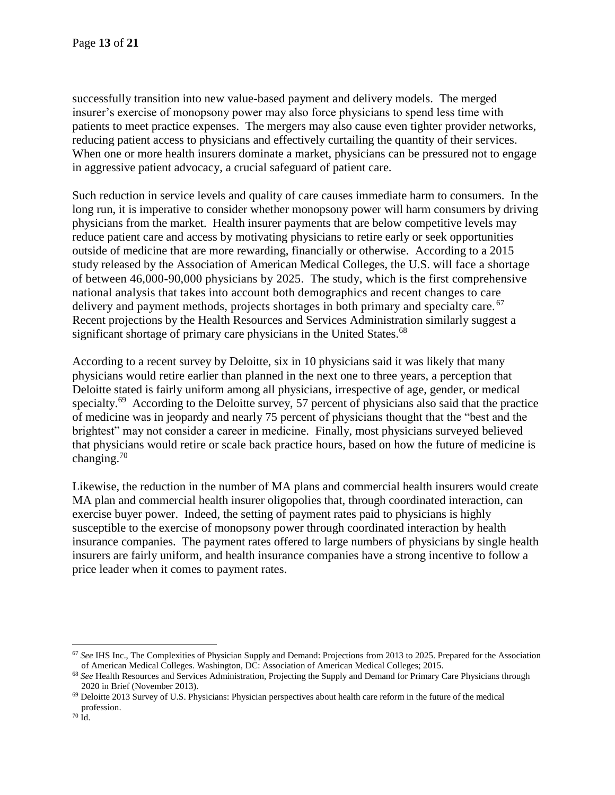successfully transition into new value-based payment and delivery models. The merged insurer's exercise of monopsony power may also force physicians to spend less time with patients to meet practice expenses. The mergers may also cause even tighter provider networks, reducing patient access to physicians and effectively curtailing the quantity of their services. When one or more health insurers dominate a market, physicians can be pressured not to engage in aggressive patient advocacy, a crucial safeguard of patient care.

Such reduction in service levels and quality of care causes immediate harm to consumers. In the long run, it is imperative to consider whether monopsony power will harm consumers by driving physicians from the market. Health insurer payments that are below competitive levels may reduce patient care and access by motivating physicians to retire early or seek opportunities outside of medicine that are more rewarding, financially or otherwise. According to a 2015 study released by the Association of American Medical Colleges, the U.S. will face a shortage of between 46,000-90,000 physicians by 2025. The study, which is the first comprehensive national analysis that takes into account both demographics and recent changes to care delivery and payment methods, projects shortages in both primary and specialty care.<sup>67</sup> Recent projections by the Health Resources and Services Administration similarly suggest a significant shortage of primary care physicians in the United States.<sup>68</sup>

According to a recent survey by Deloitte, six in 10 physicians said it was likely that many physicians would retire earlier than planned in the next one to three years, a perception that Deloitte stated is fairly uniform among all physicians, irrespective of age, gender, or medical specialty.<sup>69</sup> According to the Deloitte survey, 57 percent of physicians also said that the practice of medicine was in jeopardy and nearly 75 percent of physicians thought that the "best and the brightest" may not consider a career in medicine. Finally, most physicians surveyed believed that physicians would retire or scale back practice hours, based on how the future of medicine is changing. $70$ 

Likewise, the reduction in the number of MA plans and commercial health insurers would create MA plan and commercial health insurer oligopolies that, through coordinated interaction, can exercise buyer power. Indeed, the setting of payment rates paid to physicians is highly susceptible to the exercise of monopsony power through coordinated interaction by health insurance companies. The payment rates offered to large numbers of physicians by single health insurers are fairly uniform, and health insurance companies have a strong incentive to follow a price leader when it comes to payment rates.

<sup>67</sup> *See* IHS Inc., The Complexities of Physician Supply and Demand: Projections from 2013 to 2025. Prepared for the Association of American Medical Colleges. Washington, DC: Association of American Medical Colleges; 2015.

<sup>&</sup>lt;sup>68</sup> See Health Resources and Services Administration, Projecting the Supply and Demand for Primary Care Physicians through 2020 in Brief (November 2013).

<sup>69</sup> Deloitte 2013 Survey of U.S. Physicians: Physician perspectives about health care reform in the future of the medical profession.

 $70$   ${\rm \dot{I}d.}$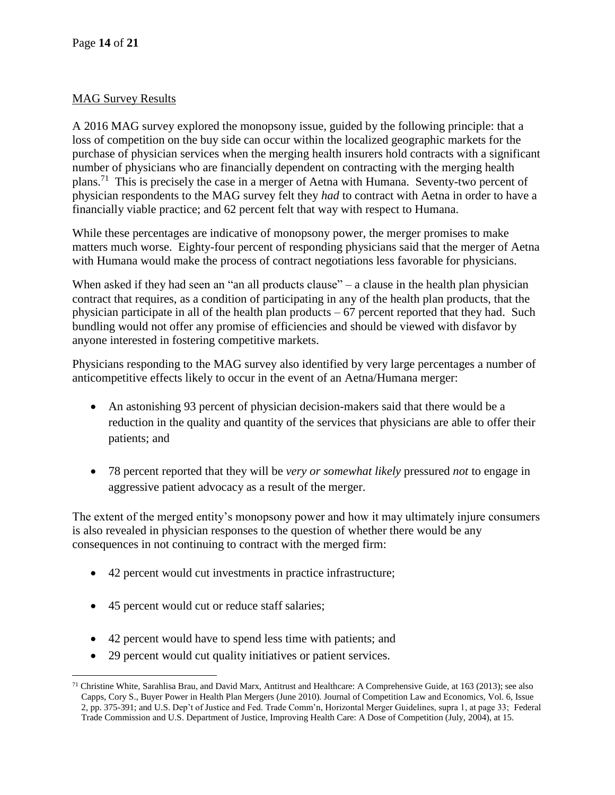# MAG Survey Results

A 2016 MAG survey explored the monopsony issue, guided by the following principle: that a loss of competition on the buy side can occur within the localized geographic markets for the purchase of physician services when the merging health insurers hold contracts with a significant number of physicians who are financially dependent on contracting with the merging health plans.<sup>71</sup> This is precisely the case in a merger of Aetna with Humana. Seventy-two percent of physician respondents to the MAG survey felt they *had* to contract with Aetna in order to have a financially viable practice; and 62 percent felt that way with respect to Humana.

While these percentages are indicative of monopsony power, the merger promises to make matters much worse. Eighty-four percent of responding physicians said that the merger of Aetna with Humana would make the process of contract negotiations less favorable for physicians.

When asked if they had seen an "an all products clause" – a clause in the health plan physician contract that requires, as a condition of participating in any of the health plan products, that the physician participate in all of the health plan products – 67 percent reported that they had. Such bundling would not offer any promise of efficiencies and should be viewed with disfavor by anyone interested in fostering competitive markets.

Physicians responding to the MAG survey also identified by very large percentages a number of anticompetitive effects likely to occur in the event of an Aetna/Humana merger:

- An astonishing 93 percent of physician decision-makers said that there would be a reduction in the quality and quantity of the services that physicians are able to offer their patients; and
- 78 percent reported that they will be *very or somewhat likely* pressured *not* to engage in aggressive patient advocacy as a result of the merger.

The extent of the merged entity's monopsony power and how it may ultimately injure consumers is also revealed in physician responses to the question of whether there would be any consequences in not continuing to contract with the merged firm:

- 42 percent would cut investments in practice infrastructure;
- 45 percent would cut or reduce staff salaries;
- 42 percent would have to spend less time with patients; and
- 29 percent would cut quality initiatives or patient services.

 $\overline{a}$ <sup>71</sup> Christine White, Sarahlisa Brau, and David Marx, Antitrust and Healthcare: A Comprehensive Guide, at 163 (2013); see also Capps, Cory S., Buyer Power in Health Plan Mergers (June 2010). Journal of Competition Law and Economics, Vol. 6, Issue 2, pp. 375-391; and U.S. Dep't of Justice and Fed. Trade Comm'n, Horizontal Merger Guidelines, supra 1, at page 33; Federal Trade Commission and U.S. Department of Justice, Improving Health Care: A Dose of Competition (July, 2004), at 15.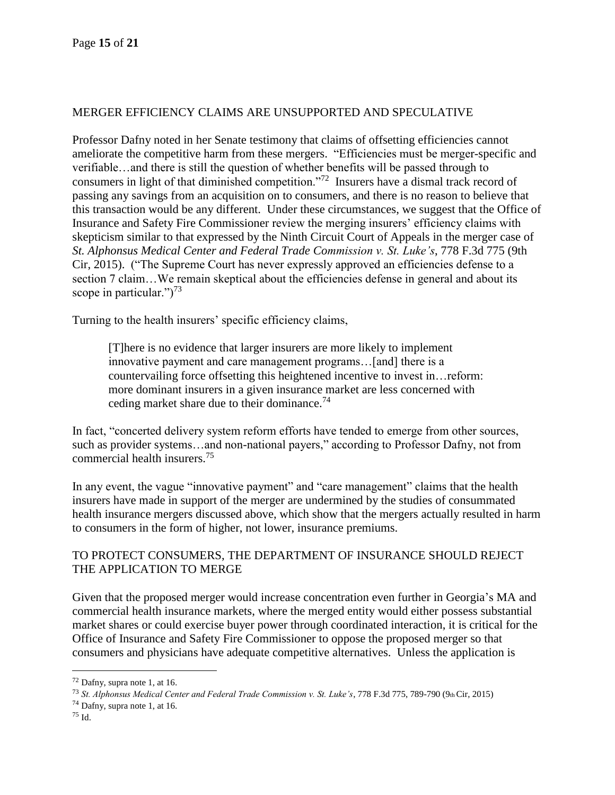## MERGER EFFICIENCY CLAIMS ARE UNSUPPORTED AND SPECULATIVE

Professor Dafny noted in her Senate testimony that claims of offsetting efficiencies cannot ameliorate the competitive harm from these mergers. "Efficiencies must be merger-specific and verifiable…and there is still the question of whether benefits will be passed through to consumers in light of that diminished competition."<sup>72</sup> Insurers have a dismal track record of passing any savings from an acquisition on to consumers, and there is no reason to believe that this transaction would be any different. Under these circumstances, we suggest that the Office of Insurance and Safety Fire Commissioner review the merging insurers' efficiency claims with skepticism similar to that expressed by the Ninth Circuit Court of Appeals in the merger case of *St. Alphonsus Medical Center and Federal Trade Commission v. St. Luke's*, 778 F.3d 775 (9th Cir, 2015). ("The Supreme Court has never expressly approved an efficiencies defense to a section 7 claim…We remain skeptical about the efficiencies defense in general and about its scope in particular." $)^{73}$ 

Turning to the health insurers' specific efficiency claims,

[T]here is no evidence that larger insurers are more likely to implement innovative payment and care management programs…[and] there is a countervailing force offsetting this heightened incentive to invest in…reform: more dominant insurers in a given insurance market are less concerned with ceding market share due to their dominance.<sup>74</sup>

In fact, "concerted delivery system reform efforts have tended to emerge from other sources, such as provider systems…and non-national payers," according to Professor Dafny, not from commercial health insurers.<sup>75</sup>

In any event, the vague "innovative payment" and "care management" claims that the health insurers have made in support of the merger are undermined by the studies of consummated health insurance mergers discussed above, which show that the mergers actually resulted in harm to consumers in the form of higher, not lower, insurance premiums.

# TO PROTECT CONSUMERS, THE DEPARTMENT OF INSURANCE SHOULD REJECT THE APPLICATION TO MERGE

Given that the proposed merger would increase concentration even further in Georgia's MA and commercial health insurance markets, where the merged entity would either possess substantial market shares or could exercise buyer power through coordinated interaction, it is critical for the Office of Insurance and Safety Fire Commissioner to oppose the proposed merger so that consumers and physicians have adequate competitive alternatives. Unless the application is

<sup>74</sup> Dafny, supra note 1, at 16.

 $72$  Dafny, supra note 1, at 16.

<sup>73</sup> *St. Alphonsus Medical Center and Federal Trade Commission v. St. Luke's*, 778 F.3d 775, 789-790 (9th Cir, 2015)

<sup>75</sup> Id.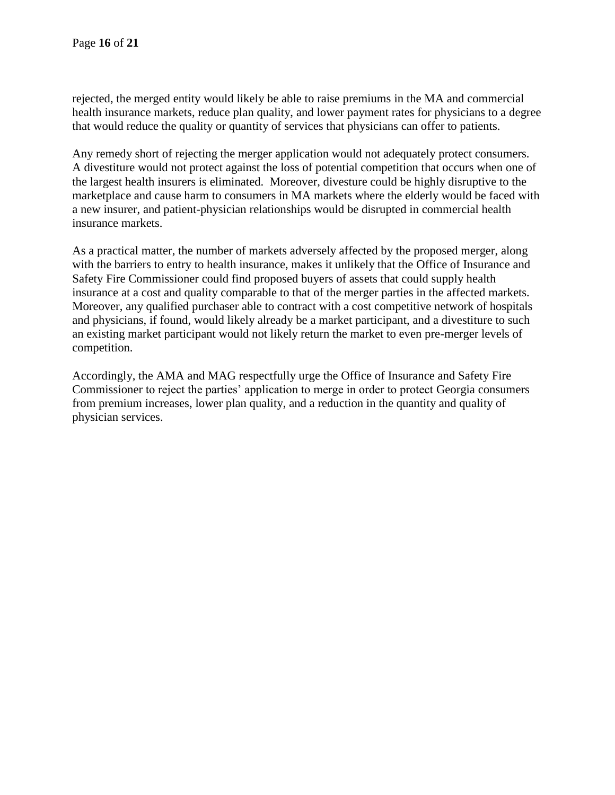rejected, the merged entity would likely be able to raise premiums in the MA and commercial health insurance markets, reduce plan quality, and lower payment rates for physicians to a degree that would reduce the quality or quantity of services that physicians can offer to patients.

Any remedy short of rejecting the merger application would not adequately protect consumers. A divestiture would not protect against the loss of potential competition that occurs when one of the largest health insurers is eliminated. Moreover, divesture could be highly disruptive to the marketplace and cause harm to consumers in MA markets where the elderly would be faced with a new insurer, and patient-physician relationships would be disrupted in commercial health insurance markets.

As a practical matter, the number of markets adversely affected by the proposed merger, along with the barriers to entry to health insurance, makes it unlikely that the Office of Insurance and Safety Fire Commissioner could find proposed buyers of assets that could supply health insurance at a cost and quality comparable to that of the merger parties in the affected markets. Moreover, any qualified purchaser able to contract with a cost competitive network of hospitals and physicians, if found, would likely already be a market participant, and a divestiture to such an existing market participant would not likely return the market to even pre-merger levels of competition.

Accordingly, the AMA and MAG respectfully urge the Office of Insurance and Safety Fire Commissioner to reject the parties' application to merge in order to protect Georgia consumers from premium increases, lower plan quality, and a reduction in the quantity and quality of physician services.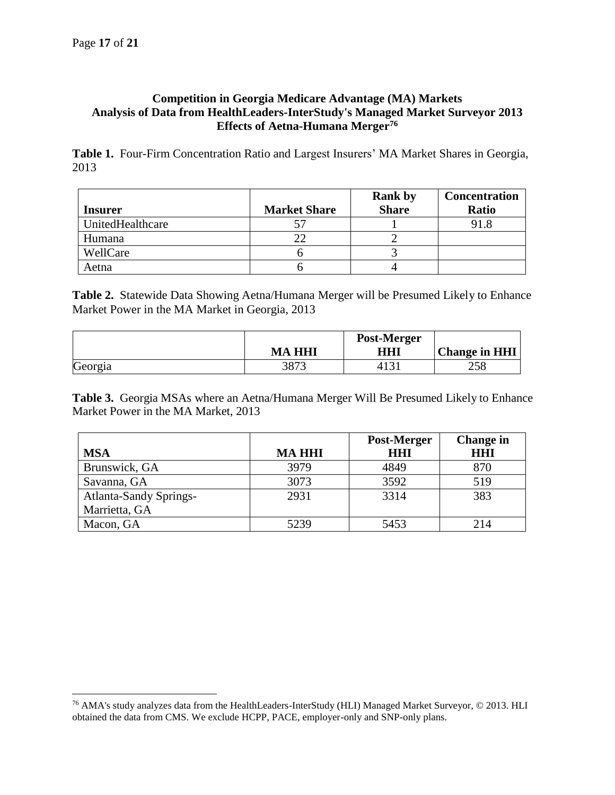## **Competition in Georgia Medicare Advantage (MA) Markets Analysis of Data from HealthLeaders-InterStudy's Managed Market Surveyor 2013 Effects of Aetna-Humana Merger<sup>76</sup>**

**Table 1.** Four-Firm Concentration Ratio and Largest Insurers' MA Market Shares in Georgia, 2013

|                  |                     | <b>Rank by</b> | <b>Concentration</b> |
|------------------|---------------------|----------------|----------------------|
| <b>Insurer</b>   | <b>Market Share</b> | <b>Share</b>   | <b>Ratio</b>         |
| UnitedHealthcare |                     |                | 91.8                 |
| Humana           |                     |                |                      |
| WellCare         |                     |                |                      |
| Aetna            |                     |                |                      |

**Table 2.** Statewide Data Showing Aetna/Humana Merger will be Presumed Likely to Enhance Market Power in the MA Market in Georgia, 2013

|         | <b>MA HHI</b> | Post-Merger<br>HH1 | <b>Change in HHI</b> |
|---------|---------------|--------------------|----------------------|
| Georgia |               |                    | 258                  |

**Table 3.** Georgia MSAs where an Aetna/Humana Merger Will Be Presumed Likely to Enhance Market Power in the MA Market, 2013

|                               |               | Post-Merger | <b>Change in</b> |
|-------------------------------|---------------|-------------|------------------|
| <b>MSA</b>                    | <b>MA HHI</b> | HHI         | <b>HHI</b>       |
| Brunswick, GA                 | 3979          | 4849        | 870              |
| Savanna, GA                   | 3073          | 3592        | 519              |
| <b>Atlanta-Sandy Springs-</b> | 2931          | 3314        | 383              |
| Marrietta, GA                 |               |             |                  |
| Macon, GA                     | 5239          | 5453        | 214              |

<sup>76</sup> AMA's study analyzes data from the HealthLeaders-InterStudy (HLI) Managed Market Surveyor, © 2013. HLI obtained the data from CMS. We exclude HCPP, PACE, employer-only and SNP-only plans.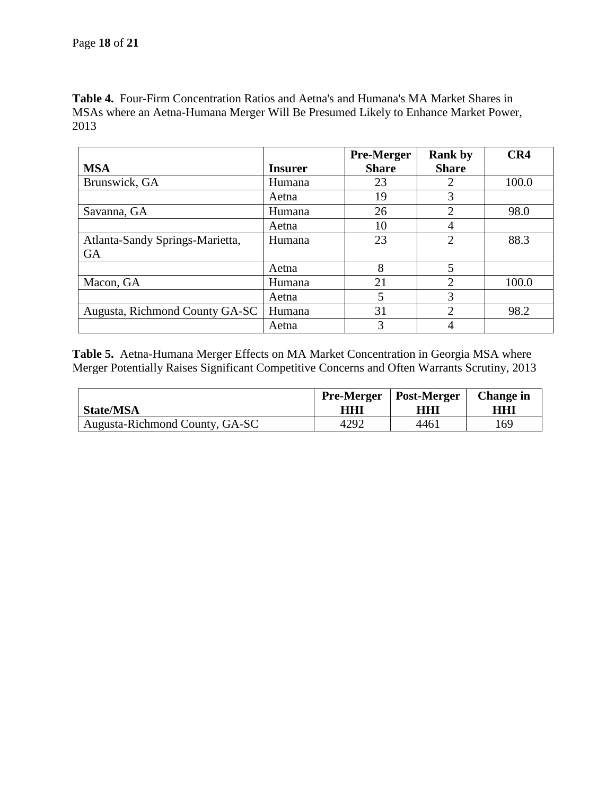**Table 4.** Four-Firm Concentration Ratios and Aetna's and Humana's MA Market Shares in MSAs where an Aetna-Humana Merger Will Be Presumed Likely to Enhance Market Power, 2013

|                                 |                | <b>Pre-Merger</b> | <b>Rank by</b>              | CR4   |
|---------------------------------|----------------|-------------------|-----------------------------|-------|
| <b>MSA</b>                      | <b>Insurer</b> | <b>Share</b>      | <b>Share</b>                |       |
| Brunswick, GA                   | Humana         | 23                |                             | 100.0 |
|                                 | Aetna          | 19                | 3                           |       |
| Savanna, GA                     | Humana         | 26                | $\overline{2}$              | 98.0  |
|                                 | Aetna          | 10                | 4                           |       |
| Atlanta-Sandy Springs-Marietta, | Humana         | 23                | $\mathcal{D}_{\mathcal{L}}$ | 88.3  |
| <b>GA</b>                       |                |                   |                             |       |
|                                 | Aetna          | 8                 | 5                           |       |
| Macon, GA                       | Humana         | 21                | 2                           | 100.0 |
|                                 | Aetna          | 5                 | 3                           |       |
| Augusta, Richmond County GA-SC  | Humana         | 31                | ↑                           | 98.2  |
|                                 | Aetna          | 3                 |                             |       |

**Table 5.** Aetna-Humana Merger Effects on MA Market Concentration in Georgia MSA where Merger Potentially Raises Significant Competitive Concerns and Often Warrants Scrutiny, 2013

| <b>State/MSA</b>               | HHI  | <b>Pre-Merger   Post-Merger</b><br>HHI | <b>Change</b> in<br>HHI |
|--------------------------------|------|----------------------------------------|-------------------------|
| Augusta-Richmond County, GA-SC | 4292 | 4461                                   | 169                     |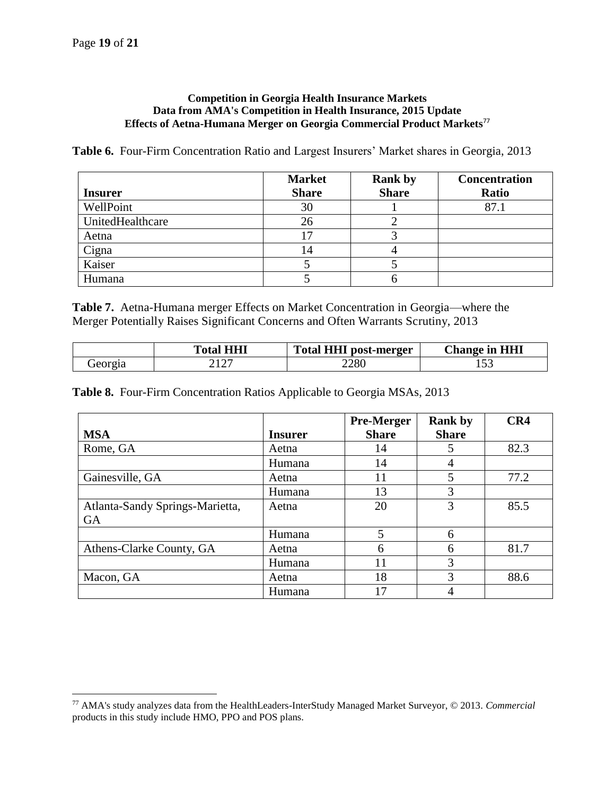#### **Competition in Georgia Health Insurance Markets Data from AMA's Competition in Health Insurance, 2015 Update Effects of Aetna-Humana Merger on Georgia Commercial Product Markets**<sup>77</sup>

**Table 6.** Four-Firm Concentration Ratio and Largest Insurers' Market shares in Georgia, 2013

| <b>Insurer</b>   | <b>Market</b><br><b>Share</b> | <b>Rank by</b><br><b>Share</b> | <b>Concentration</b><br><b>Ratio</b> |
|------------------|-------------------------------|--------------------------------|--------------------------------------|
| WellPoint        | 30                            |                                | 87.1                                 |
|                  |                               |                                |                                      |
| UnitedHealthcare | 26                            |                                |                                      |
| Aetna            | רו                            |                                |                                      |
| Cigna            | 14                            |                                |                                      |
| Kaiser           |                               |                                |                                      |
| Humana           |                               |                                |                                      |

**Table 7.** Aetna-Humana merger Effects on Market Concentration in Georgia—where the Merger Potentially Raises Significant Concerns and Often Warrants Scrutiny, 2013

|         | <b>Total HHI</b>     | <b>HHI</b><br>Total <sub>1</sub><br>post-merger | <b>Change in HHI</b> |
|---------|----------------------|-------------------------------------------------|----------------------|
| Jeorgia | $1 \cap \Box$<br>414 | 2280                                            | ⊥ັ                   |

**Table 8.** Four-Firm Concentration Ratios Applicable to Georgia MSAs, 2013

|                                 |                | <b>Pre-Merger</b> | <b>Rank by</b> | CR4  |
|---------------------------------|----------------|-------------------|----------------|------|
| <b>MSA</b>                      | <b>Insurer</b> | <b>Share</b>      | <b>Share</b>   |      |
| Rome, GA                        | Aetna          | 14                | 5              | 82.3 |
|                                 | Humana         | 14                | 4              |      |
| Gainesville, GA                 | Aetna          | 11                | 5              | 77.2 |
|                                 | Humana         | 13                | 3              |      |
| Atlanta-Sandy Springs-Marietta, | Aetna          | 20                | 3              | 85.5 |
| <b>GA</b>                       |                |                   |                |      |
|                                 | Humana         | 5                 | 6              |      |
| Athens-Clarke County, GA        | Aetna          | 6                 | 6              | 81.7 |
|                                 | Humana         | 11                | 3              |      |
| Macon, GA                       | Aetna          | 18                | 3              | 88.6 |
|                                 | Humana         | 17                |                |      |

<sup>77</sup> AMA's study analyzes data from the HealthLeaders-InterStudy Managed Market Surveyor, © 2013. *Commercial* products in this study include HMO, PPO and POS plans.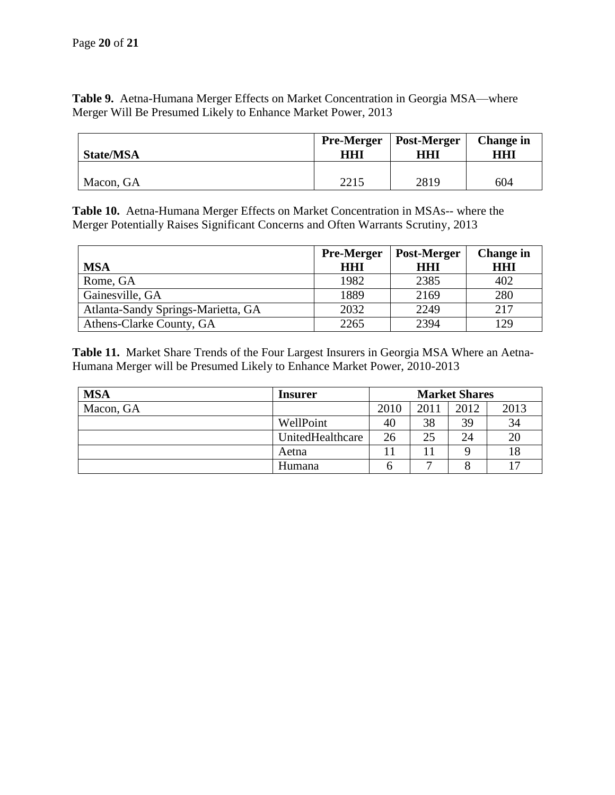**Table 9.** Aetna-Humana Merger Effects on Market Concentration in Georgia MSA—where Merger Will Be Presumed Likely to Enhance Market Power, 2013

| <b>State/MSA</b> | <b>Pre-Merger</b> | <b>Post-Merger</b> | <b>Change</b> in |
|------------------|-------------------|--------------------|------------------|
|                  | HHI               | HHI                | HHI              |
| Macon, GA        | 2215              | 2819               | 604              |

**Table 10.** Aetna-Humana Merger Effects on Market Concentration in MSAs-- where the Merger Potentially Raises Significant Concerns and Often Warrants Scrutiny, 2013

|                                    | <b>Pre-Merger</b> | Post-Merger | <b>Change in</b> |
|------------------------------------|-------------------|-------------|------------------|
| <b>MSA</b>                         | HHI               | HHI         | <b>HHI</b>       |
| Rome, GA                           | 1982              | 2385        | 402              |
| Gainesville, GA                    | 1889              | 2169        | 280              |
| Atlanta-Sandy Springs-Marietta, GA | 2032              | 2249        | 217              |
| Athens-Clarke County, GA           | 2265              | 2394        | 129              |

**Table 11.** Market Share Trends of the Four Largest Insurers in Georgia MSA Where an Aetna-Humana Merger will be Presumed Likely to Enhance Market Power, 2010-2013

| <b>MSA</b> | <b>Insurer</b>   | <b>Market Shares</b> |      |      |      |
|------------|------------------|----------------------|------|------|------|
| Macon, GA  |                  | 2010                 | 2011 | 2012 | 2013 |
|            | WellPoint        | 40                   | 38   | 39   | 34   |
|            | UnitedHealthcare | 26                   | 25   | 24   | 20   |
|            | Aetna            |                      |      |      |      |
|            | Humana           | n                    |      |      |      |